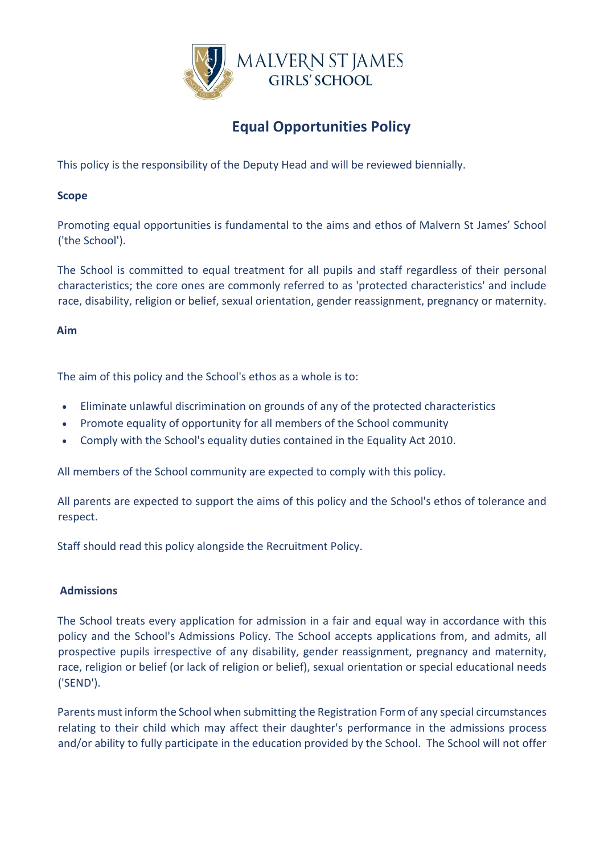

# **Equal Opportunities Policy**

This policy is the responsibility of the Deputy Head and will be reviewed biennially.

# **Scope**

Promoting equal opportunities is fundamental to the aims and ethos of Malvern St James' School ('the School').

The School is committed to equal treatment for all pupils and staff regardless of their personal characteristics; the core ones are commonly referred to as 'protected characteristics' and include race, disability, religion or belief, sexual orientation, gender reassignment, pregnancy or maternity.

## **Aim**

The aim of this policy and the School's ethos as a whole is to:

- Eliminate unlawful discrimination on grounds of any of the protected characteristics
- Promote equality of opportunity for all members of the School community
- Comply with the School's equality duties contained in the Equality Act 2010.

All members of the School community are expected to comply with this policy.

All parents are expected to support the aims of this policy and the School's ethos of tolerance and respect.

Staff should read this policy alongside the Recruitment Policy.

# **Admissions**

The School treats every application for admission in a fair and equal way in accordance with this policy and the School's Admissions Policy. The School accepts applications from, and admits, all prospective pupils irrespective of any disability, gender reassignment, pregnancy and maternity, race, religion or belief (or lack of religion or belief), sexual orientation or special educational needs ('SEND').

Parents must inform the School when submitting the Registration Form of any special circumstances relating to their child which may affect their daughter's performance in the admissions process and/or ability to fully participate in the education provided by the School. The School will not offer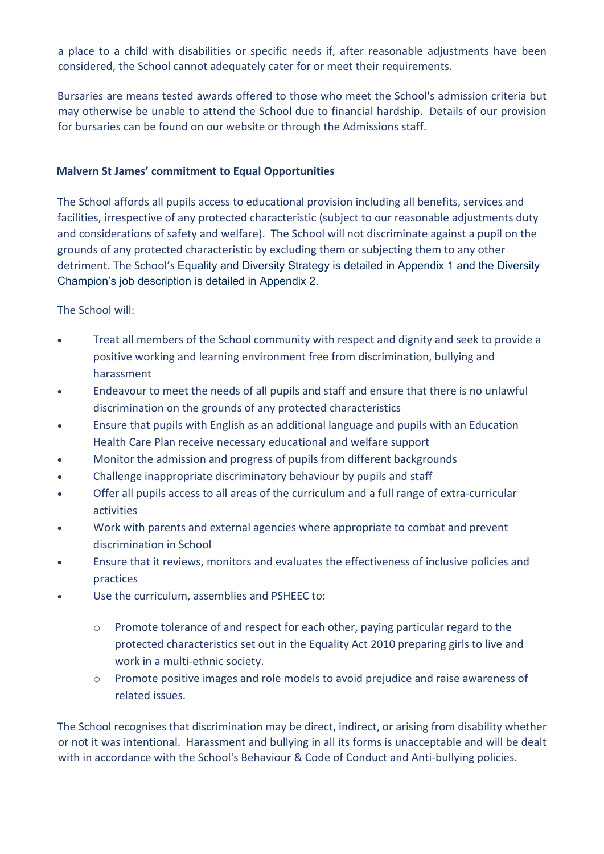a place to a child with disabilities or specific needs if, after reasonable adjustments have been considered, the School cannot adequately cater for or meet their requirements.

Bursaries are means tested awards offered to those who meet the School's admission criteria but may otherwise be unable to attend the School due to financial hardship. Details of our provision for bursaries can be found on our website or through the Admissions staff.

# **Malvern St James' commitment to Equal Opportunities**

The School affords all pupils access to educational provision including all benefits, services and facilities, irrespective of any protected characteristic (subject to our reasonable adjustments duty and considerations of safety and welfare). The School will not discriminate against a pupil on the grounds of any protected characteristic by excluding them or subjecting them to any other detriment. The School's Equality and Diversity Strategy is detailed in Appendix 1 and the Diversity Champion's job description is detailed in Appendix 2.

The School will:

- Treat all members of the School community with respect and dignity and seek to provide a positive working and learning environment free from discrimination, bullying and harassment
- Endeavour to meet the needs of all pupils and staff and ensure that there is no unlawful discrimination on the grounds of any protected characteristics
- Ensure that pupils with English as an additional language and pupils with an Education Health Care Plan receive necessary educational and welfare support
- Monitor the admission and progress of pupils from different backgrounds
- Challenge inappropriate discriminatory behaviour by pupils and staff
- Offer all pupils access to all areas of the curriculum and a full range of extra-curricular activities
- Work with parents and external agencies where appropriate to combat and prevent discrimination in School
- Ensure that it reviews, monitors and evaluates the effectiveness of inclusive policies and practices
- Use the curriculum, assemblies and PSHEEC to:
	- $\circ$  Promote tolerance of and respect for each other, paying particular regard to the protected characteristics set out in the Equality Act 2010 preparing girls to live and work in a multi-ethnic society.
	- o Promote positive images and role models to avoid prejudice and raise awareness of related issues.

The School recognises that discrimination may be direct, indirect, or arising from disability whether or not it was intentional. Harassment and bullying in all its forms is unacceptable and will be dealt with in accordance with the School's Behaviour & Code of Conduct and Anti-bullying policies.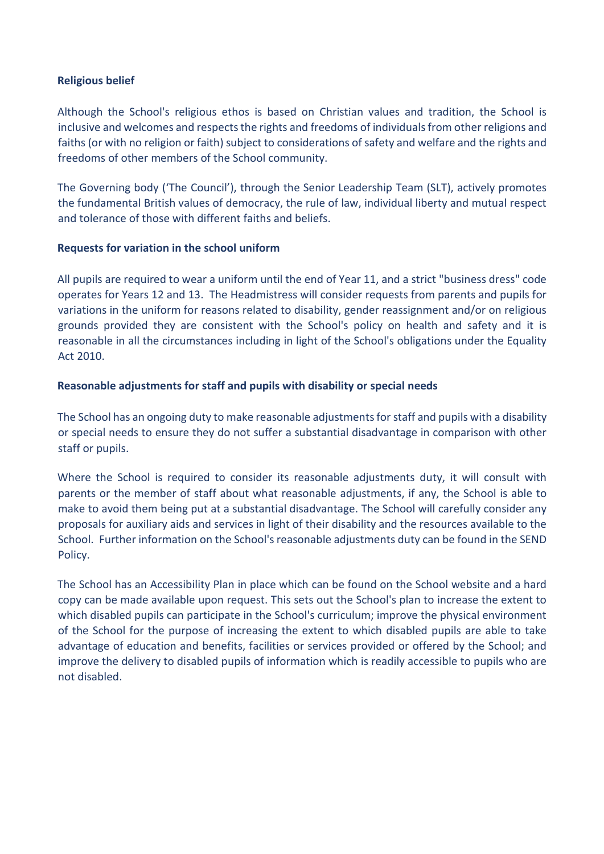#### **Religious belief**

Although the School's religious ethos is based on Christian values and tradition, the School is inclusive and welcomes and respects the rights and freedoms of individuals from other religions and faiths (or with no religion or faith) subject to considerations of safety and welfare and the rights and freedoms of other members of the School community.

The Governing body ('The Council'), through the Senior Leadership Team (SLT), actively promotes the fundamental British values of democracy, the rule of law, individual liberty and mutual respect and tolerance of those with different faiths and beliefs.

## **Requests for variation in the school uniform**

All pupils are required to wear a uniform until the end of Year 11, and a strict "business dress" code operates for Years 12 and 13. The Headmistress will consider requests from parents and pupils for variations in the uniform for reasons related to disability, gender reassignment and/or on religious grounds provided they are consistent with the School's policy on health and safety and it is reasonable in all the circumstances including in light of the School's obligations under the Equality Act 2010.

# **Reasonable adjustments for staff and pupils with disability or special needs**

The School has an ongoing duty to make reasonable adjustments for staff and pupils with a disability or special needs to ensure they do not suffer a substantial disadvantage in comparison with other staff or pupils.

Where the School is required to consider its reasonable adjustments duty, it will consult with parents or the member of staff about what reasonable adjustments, if any, the School is able to make to avoid them being put at a substantial disadvantage. The School will carefully consider any proposals for auxiliary aids and services in light of their disability and the resources available to the School. Further information on the School's reasonable adjustments duty can be found in the SEND Policy.

The School has an Accessibility Plan in place which can be found on the School website and a hard copy can be made available upon request. This sets out the School's plan to increase the extent to which disabled pupils can participate in the School's curriculum; improve the physical environment of the School for the purpose of increasing the extent to which disabled pupils are able to take advantage of education and benefits, facilities or services provided or offered by the School; and improve the delivery to disabled pupils of information which is readily accessible to pupils who are not disabled.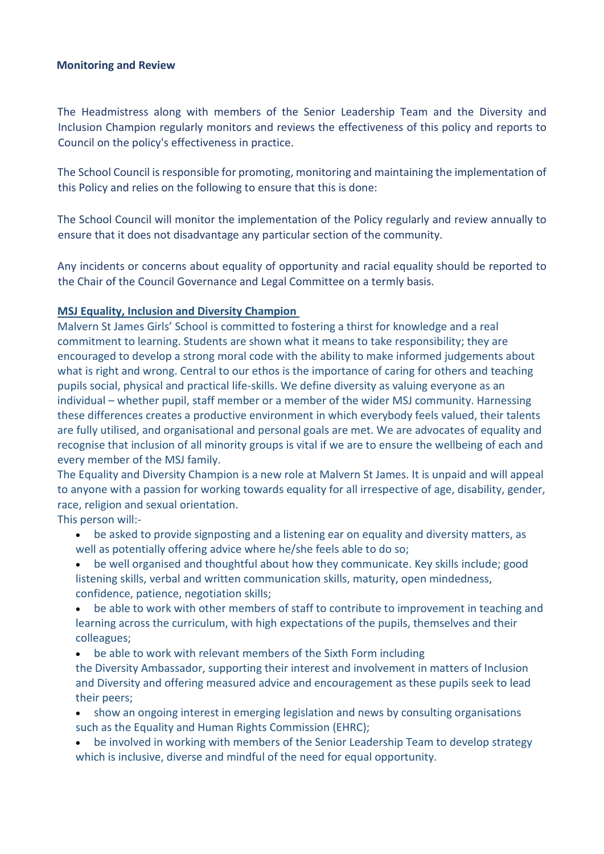#### **Monitoring and Review**

The Headmistress along with members of the Senior Leadership Team and the Diversity and Inclusion Champion regularly monitors and reviews the effectiveness of this policy and reports to Council on the policy's effectiveness in practice.

The School Council is responsible for promoting, monitoring and maintaining the implementation of this Policy and relies on the following to ensure that this is done:

The School Council will monitor the implementation of the Policy regularly and review annually to ensure that it does not disadvantage any particular section of the community.

Any incidents or concerns about equality of opportunity and racial equality should be reported to the Chair of the Council Governance and Legal Committee on a termly basis.

#### **MSJ Equality, Inclusion and Diversity Champion**

Malvern St James Girls' School is committed to fostering a thirst for knowledge and a real commitment to learning. Students are shown what it means to take responsibility; they are encouraged to develop a strong moral code with the ability to make informed judgements about what is right and wrong. Central to our ethos is the importance of caring for others and teaching pupils social, physical and practical life-skills. We define diversity as valuing everyone as an individual – whether pupil, staff member or a member of the wider MSJ community. Harnessing these differences creates a productive environment in which everybody feels valued, their talents are fully utilised, and organisational and personal goals are met. We are advocates of equality and recognise that inclusion of all minority groups is vital if we are to ensure the wellbeing of each and every member of the MSJ family.

The Equality and Diversity Champion is a new role at Malvern St James. It is unpaid and will appeal to anyone with a passion for working towards equality for all irrespective of age, disability, gender, race, religion and sexual orientation.

This person will:-

- be asked to provide signposting and a listening ear on equality and diversity matters, as well as potentially offering advice where he/she feels able to do so;
- be well organised and thoughtful about how they communicate. Key skills include; good listening skills, verbal and written communication skills, maturity, open mindedness, confidence, patience, negotiation skills;
- be able to work with other members of staff to contribute to improvement in teaching and learning across the curriculum, with high expectations of the pupils, themselves and their colleagues;
- be able to work with relevant members of the Sixth Form including

the Diversity Ambassador, supporting their interest and involvement in matters of Inclusion and Diversity and offering measured advice and encouragement as these pupils seek to lead their peers;

- show an ongoing interest in emerging legislation and news by consulting organisations such as the [Equality and Human Rights Commission \(EHRC\);](http://www.equalityhumanrights.com/)
- be involved in working with members of the Senior Leadership Team to develop strategy which is inclusive, diverse and mindful of the need for equal opportunity.